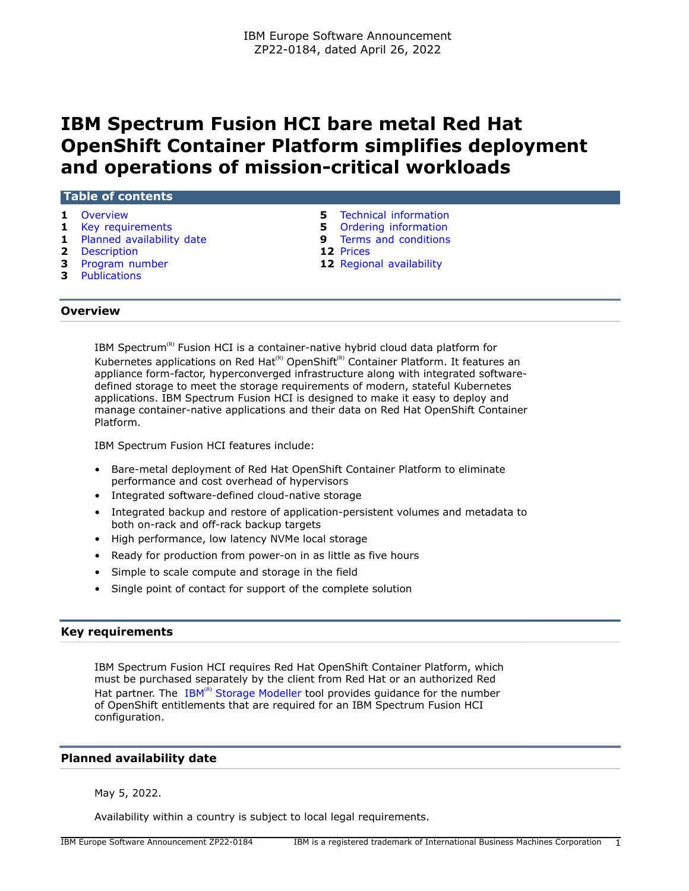# **IBM Spectrum Fusion HCI bare metal Red Hat OpenShift Container Platform simplifies deployment and operations of mission-critical workloads**

| Table of contents           |                                |  |  |  |
|-----------------------------|--------------------------------|--|--|--|
| <b>1</b> Overview           | <b>5</b> Technical information |  |  |  |
| 1 Key requirements          | 5 Ordering information         |  |  |  |
| 1 Planned availability date | Terms and conditions<br>9.     |  |  |  |
| 2 Description               | 12 Prices                      |  |  |  |
| 3 Program number            | 12 Regional availability       |  |  |  |
| <b>3</b> Publications       |                                |  |  |  |

# <span id="page-0-0"></span>**Overview**

IBM Spectrum ${}^{\text{\tiny(R)}}$  Fusion HCI is a container-native hybrid cloud data platform for Kubernetes applications on Red Hat<sup>(R)</sup> OpenShift<sup>(R)</sup> Container Platform. It features an appliance form-factor, hyperconverged infrastructure along with integrated softwaredefined storage to meet the storage requirements of modern, stateful Kubernetes applications. IBM Spectrum Fusion HCI is designed to make it easy to deploy and manage container-native applications and their data on Red Hat OpenShift Container Platform.

IBM Spectrum Fusion HCI features include:

- Bare-metal deployment of Red Hat OpenShift Container Platform to eliminate performance and cost overhead of hypervisors
- Integrated software-defined cloud-native storage
- Integrated backup and restore of application-persistent volumes and metadata to both on-rack and off-rack backup targets
- High performance, low latency NVMe local storage
- Ready for production from power-on in as little as five hours
- Simple to scale compute and storage in the field
- Single point of contact for support of the complete solution

## <span id="page-0-1"></span>**Key requirements**

IBM Spectrum Fusion HCI requires Red Hat OpenShift Container Platform, which must be purchased separately by the client from Red Hat or an authorized Red Hat partner. The  $IBM^{(R)}$  [Storage Modeller](https://www.ibm.com/tools/storage-modeller) tool provides guidance for the number of OpenShift entitlements that are required for an IBM Spectrum Fusion HCI configuration.

## <span id="page-0-2"></span>**Planned availability date**

May 5, 2022.

Availability within a country is subject to local legal requirements.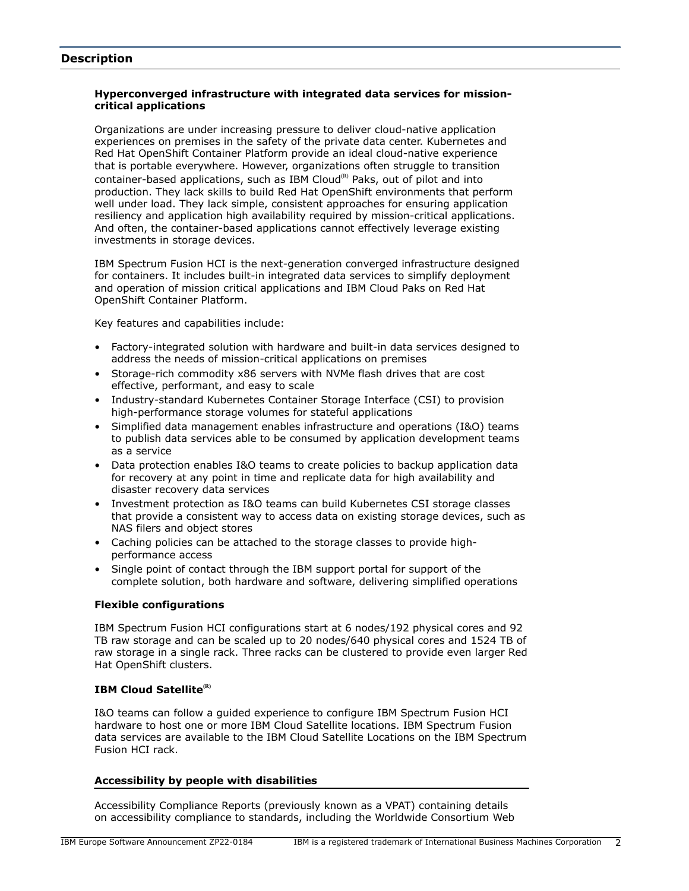## <span id="page-1-0"></span>**Description**

## **Hyperconverged infrastructure with integrated data services for missioncritical applications**

Organizations are under increasing pressure to deliver cloud-native application experiences on premises in the safety of the private data center. Kubernetes and Red Hat OpenShift Container Platform provide an ideal cloud-native experience that is portable everywhere. However, organizations often struggle to transition container-based applications, such as IBM Cloud $^{(R)}$  Paks, out of pilot and into production. They lack skills to build Red Hat OpenShift environments that perform well under load. They lack simple, consistent approaches for ensuring application resiliency and application high availability required by mission-critical applications. And often, the container-based applications cannot effectively leverage existing investments in storage devices.

IBM Spectrum Fusion HCI is the next-generation converged infrastructure designed for containers. It includes built-in integrated data services to simplify deployment and operation of mission critical applications and IBM Cloud Paks on Red Hat OpenShift Container Platform.

Key features and capabilities include:

- Factory-integrated solution with hardware and built-in data services designed to address the needs of mission-critical applications on premises
- Storage-rich commodity x86 servers with NVMe flash drives that are cost effective, performant, and easy to scale
- Industry-standard Kubernetes Container Storage Interface (CSI) to provision high-performance storage volumes for stateful applications
- Simplified data management enables infrastructure and operations (I&O) teams to publish data services able to be consumed by application development teams as a service
- Data protection enables I&O teams to create policies to backup application data for recovery at any point in time and replicate data for high availability and disaster recovery data services
- Investment protection as I&O teams can build Kubernetes CSI storage classes that provide a consistent way to access data on existing storage devices, such as NAS filers and object stores
- Caching policies can be attached to the storage classes to provide highperformance access
- Single point of contact through the IBM support portal for support of the complete solution, both hardware and software, delivering simplified operations

## **Flexible configurations**

IBM Spectrum Fusion HCI configurations start at 6 nodes/192 physical cores and 92 TB raw storage and can be scaled up to 20 nodes/640 physical cores and 1524 TB of raw storage in a single rack. Three racks can be clustered to provide even larger Red Hat OpenShift clusters.

## **IBM Cloud Satellite(R)**

I&O teams can follow a guided experience to configure IBM Spectrum Fusion HCI hardware to host one or more IBM Cloud Satellite locations. IBM Spectrum Fusion data services are available to the IBM Cloud Satellite Locations on the IBM Spectrum Fusion HCI rack.

### **Accessibility by people with disabilities**

Accessibility Compliance Reports (previously known as a VPAT) containing details on accessibility compliance to standards, including the Worldwide Consortium Web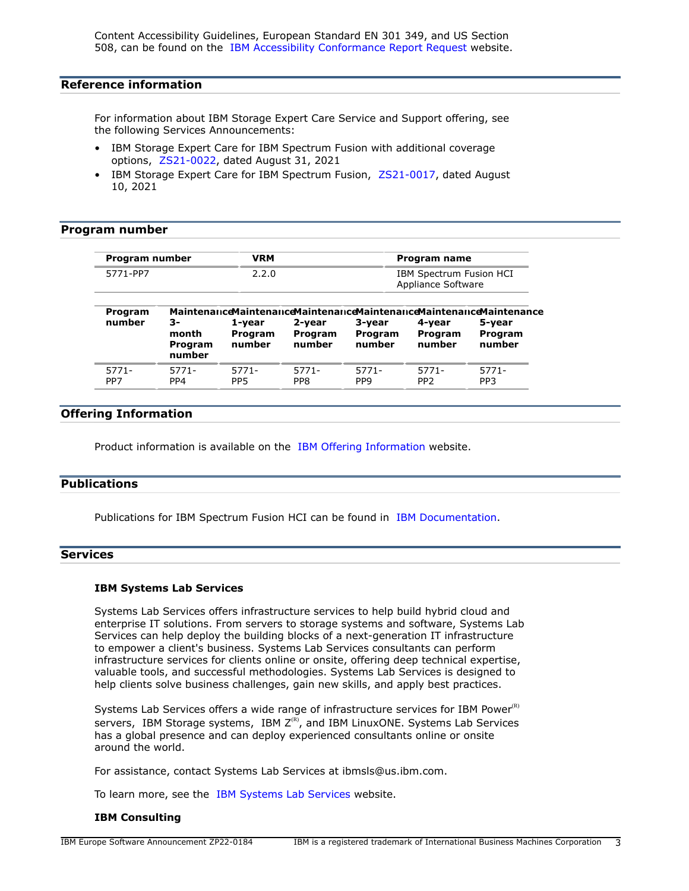Content Accessibility Guidelines, European Standard EN 301 349, and US Section 508, can be found on the [IBM Accessibility Conformance Report Request](https://www.ibm.com/able/product_accessibility/) website.

## **Reference information**

For information about IBM Storage Expert Care Service and Support offering, see the following Services Announcements:

- IBM Storage Expert Care for IBM Spectrum Fusion with additional coverage options, [ZS21-0022](http://www.ibm.com/common/ssi/cgi-bin/ssialias?infotype=an&subtype=ca&appname=gpateam&supplier=877&letternum=ENUSZS21-0022), dated August 31, 2021
- IBM Storage Expert Care for IBM Spectrum Fusion, [ZS21-0017](http://www.ibm.com/common/ssi/cgi-bin/ssialias?infotype=an&subtype=ca&appname=gpateam&supplier=877&letternum=ENUSZS21-0017), dated August 10, 2021

#### <span id="page-2-0"></span>**Program number**

| Program number | VRM   | Program name                                  |
|----------------|-------|-----------------------------------------------|
| 5771-PP7       | 2.2.0 | IBM Spectrum Fusion HCI<br>Appliance Software |

| Program<br>number | 3-<br>month<br>Program<br>number | 1-vear<br>Program<br>number | 2-vear<br>Program<br>number | 3-vear<br>Program<br>number | 4-vear<br>Program<br>number | Maintenance Maintenance Maintenance Maintenance Maintenance Maintenance<br>5-year<br>Program<br>number |
|-------------------|----------------------------------|-----------------------------|-----------------------------|-----------------------------|-----------------------------|--------------------------------------------------------------------------------------------------------|
| $5771 -$          | $5771 -$                         | $5771 -$                    | 5771-                       | 5771-                       | 5771-                       | $5771 -$                                                                                               |
| PP7               | PP4                              | PP <sub>5</sub>             | PP <sub>8</sub>             | PP <sub>9</sub>             | PP <sub>2</sub>             | PP <sub>3</sub>                                                                                        |

## **Offering Information**

Product information is available on the [IBM Offering Information](http://www.ibm.com/common/ssi) website.

## <span id="page-2-1"></span>**Publications**

Publications for IBM Spectrum Fusion HCI can be found in [IBM Documentation.](https://www.ibm.com/docs/spectrum-fusion/2.1)

## **Services**

#### **IBM Systems Lab Services**

Systems Lab Services offers infrastructure services to help build hybrid cloud and enterprise IT solutions. From servers to storage systems and software, Systems Lab Services can help deploy the building blocks of a next-generation IT infrastructure to empower a client's business. Systems Lab Services consultants can perform infrastructure services for clients online or onsite, offering deep technical expertise, valuable tools, and successful methodologies. Systems Lab Services is designed to help clients solve business challenges, gain new skills, and apply best practices.

Systems Lab Services offers a wide range of infrastructure services for IBM Power $(R)$ servers, IBM Storage systems, IBM  $Z^{(R)}$ , and IBM LinuxONE. Systems Lab Services has a global presence and can deploy experienced consultants online or onsite around the world.

For assistance, contact Systems Lab Services at ibmsls@us.ibm.com.

To learn more, see the [IBM Systems Lab Services](https://www.ibm.com/it-infrastructure/services/lab-services) website.

#### **IBM Consulting**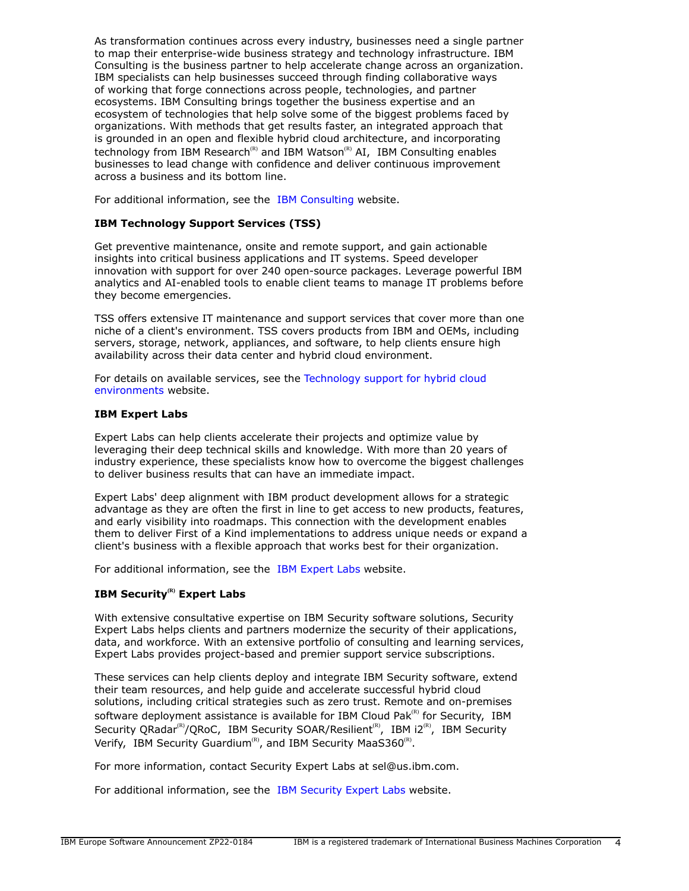As transformation continues across every industry, businesses need a single partner to map their enterprise-wide business strategy and technology infrastructure. IBM Consulting is the business partner to help accelerate change across an organization. IBM specialists can help businesses succeed through finding collaborative ways of working that forge connections across people, technologies, and partner ecosystems. IBM Consulting brings together the business expertise and an ecosystem of technologies that help solve some of the biggest problems faced by organizations. With methods that get results faster, an integrated approach that is grounded in an open and flexible hybrid cloud architecture, and incorporating technology from IBM Research<sup>(R)</sup> and IBM Watson<sup>(R)</sup> AI, IBM Consulting enables businesses to lead change with confidence and deliver continuous improvement across a business and its bottom line.

For additional information, see the [IBM Consulting](https://www.ibm.com/consulting) website.

## **IBM Technology Support Services (TSS)**

Get preventive maintenance, onsite and remote support, and gain actionable insights into critical business applications and IT systems. Speed developer innovation with support for over 240 open-source packages. Leverage powerful IBM analytics and AI-enabled tools to enable client teams to manage IT problems before they become emergencies.

TSS offers extensive IT maintenance and support services that cover more than one niche of a client's environment. TSS covers products from IBM and OEMs, including servers, storage, network, appliances, and software, to help clients ensure high availability across their data center and hybrid cloud environment.

For details on available services, see the [Technology support for hybrid cloud](https://www.ibm.com/services/technology-support) [environments](https://www.ibm.com/services/technology-support) website.

## **IBM Expert Labs**

Expert Labs can help clients accelerate their projects and optimize value by leveraging their deep technical skills and knowledge. With more than 20 years of industry experience, these specialists know how to overcome the biggest challenges to deliver business results that can have an immediate impact.

Expert Labs' deep alignment with IBM product development allows for a strategic advantage as they are often the first in line to get access to new products, features, and early visibility into roadmaps. This connection with the development enables them to deliver First of a Kind implementations to address unique needs or expand a client's business with a flexible approach that works best for their organization.

For additional information, see the [IBM Expert Labs](https://www.ibm.com/products/expertlabs) website.

## **IBM Security(R) Expert Labs**

With extensive consultative expertise on IBM Security software solutions, Security Expert Labs helps clients and partners modernize the security of their applications, data, and workforce. With an extensive portfolio of consulting and learning services, Expert Labs provides project-based and premier support service subscriptions.

These services can help clients deploy and integrate IBM Security software, extend their team resources, and help guide and accelerate successful hybrid cloud solutions, including critical strategies such as zero trust. Remote and on-premises software deployment assistance is available for IBM Cloud Pak $R<sup>(R)</sup>$  for Security, IBM Security QRadar<sup>(R)</sup>/QRoC, IBM Security SOAR/Resilient<sup>(R)</sup>, IBM i2<sup>(R)</sup>, IBM Security Verify, IBM Security Guardium<sup>(R)</sup>, and IBM Security MaaS360<sup>(R)</sup>.

For more information, contact Security Expert Labs at sel@us.ibm.com.

For additional information, see the [IBM Security Expert Labs](https://www.ibm.com/security/security-expert-labs) website.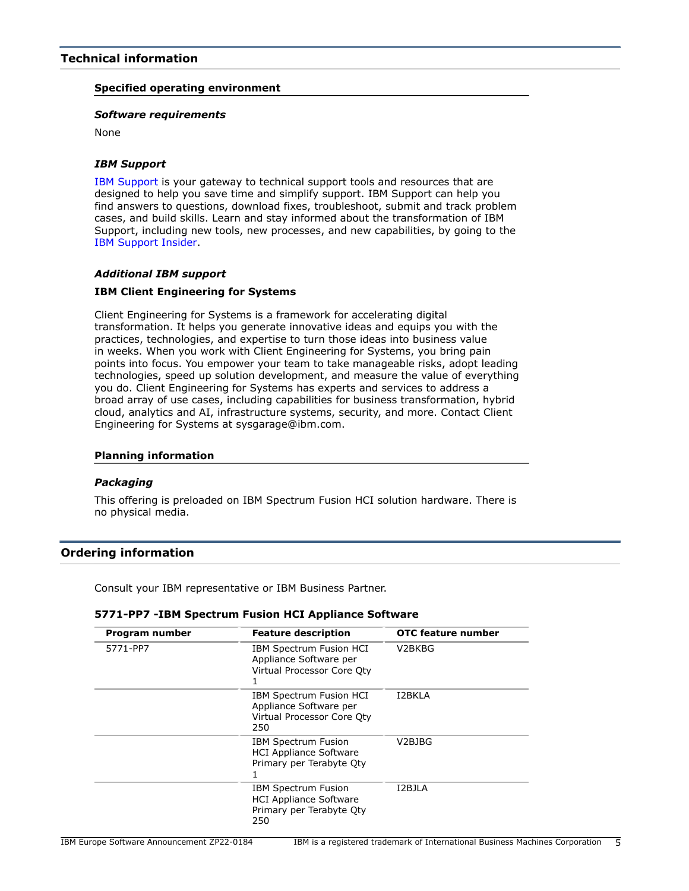## <span id="page-4-0"></span>**Specified operating environment**

## *Software requirements*

None

## *IBM Support*

[IBM Support](https://www.ibm.com/support) is your gateway to technical support tools and resources that are designed to help you save time and simplify support. IBM Support can help you find answers to questions, download fixes, troubleshoot, submit and track problem cases, and build skills. Learn and stay informed about the transformation of IBM Support, including new tools, new processes, and new capabilities, by going to the [IBM Support Insider](https://www.ibm.com/support/insider).

## *Additional IBM support*

## **IBM Client Engineering for Systems**

Client Engineering for Systems is a framework for accelerating digital transformation. It helps you generate innovative ideas and equips you with the practices, technologies, and expertise to turn those ideas into business value in weeks. When you work with Client Engineering for Systems, you bring pain points into focus. You empower your team to take manageable risks, adopt leading technologies, speed up solution development, and measure the value of everything you do. Client Engineering for Systems has experts and services to address a broad array of use cases, including capabilities for business transformation, hybrid cloud, analytics and AI, infrastructure systems, security, and more. Contact Client Engineering for Systems at sysgarage@ibm.com.

### **Planning information**

### *Packaging*

This offering is preloaded on IBM Spectrum Fusion HCI solution hardware. There is no physical media.

## <span id="page-4-1"></span>**Ordering information**

Consult your IBM representative or IBM Business Partner.

### **5771-PP7 -IBM Spectrum Fusion HCI Appliance Software**

| Program number | <b>Feature description</b>                                                                     | OTC feature number              |
|----------------|------------------------------------------------------------------------------------------------|---------------------------------|
| 5771-PP7       | IBM Spectrum Fusion HCI<br>Appliance Software per<br>Virtual Processor Core Oty                | V <sub>2</sub> BK <sub>BG</sub> |
|                | IBM Spectrum Fusion HCI<br>Appliance Software per<br>Virtual Processor Core Qty<br>250         | I2BKLA                          |
|                | <b>IBM Spectrum Fusion</b><br><b>HCI Appliance Software</b><br>Primary per Terabyte Oty        | V2BJBG                          |
|                | <b>IBM Spectrum Fusion</b><br><b>HCI Appliance Software</b><br>Primary per Terabyte Oty<br>250 | I2BJLA                          |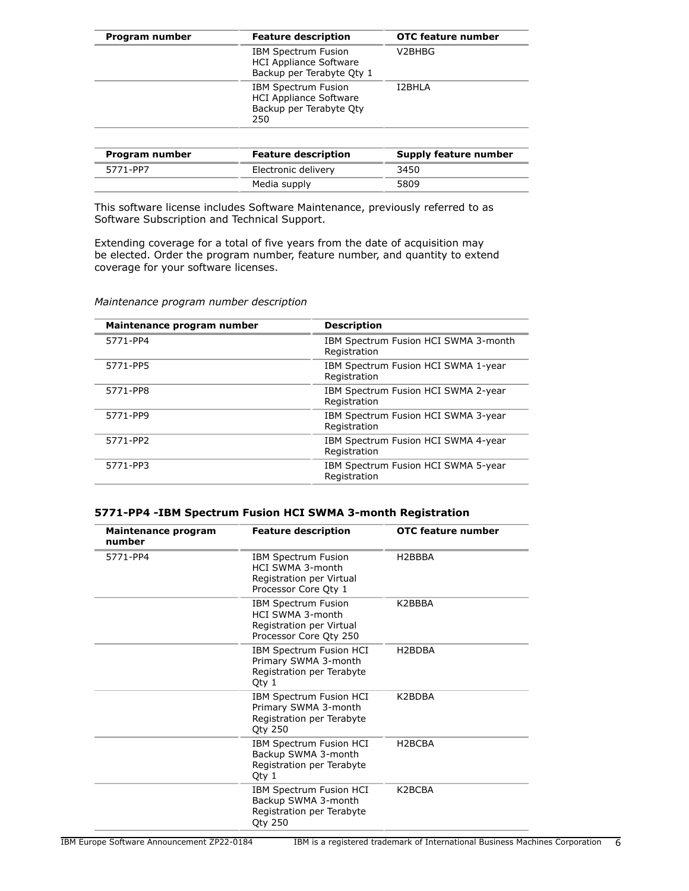| Program number | <b>Feature description</b>                                                                    | <b>OTC feature number</b> |
|----------------|-----------------------------------------------------------------------------------------------|---------------------------|
|                | <b>IBM Spectrum Fusion</b><br><b>HCI Appliance Software</b><br>Backup per Terabyte Qty 1      | V2BHBG                    |
|                | <b>IBM Spectrum Fusion</b><br><b>HCI Appliance Software</b><br>Backup per Terabyte Oty<br>250 | <b>I2BHLA</b>             |

| Program number | <b>Feature description</b> | Supply feature number |
|----------------|----------------------------|-----------------------|
| 5771-PP7       | Electronic delivery        | 3450                  |
|                | Media supply               | 5809                  |

This software license includes Software Maintenance, previously referred to as Software Subscription and Technical Support.

Extending coverage for a total of five years from the date of acquisition may be elected. Order the program number, feature number, and quantity to extend coverage for your software licenses.

*Maintenance program number description*

| Maintenance program number | <b>Description</b>                                   |
|----------------------------|------------------------------------------------------|
| 5771-PP4                   | IBM Spectrum Fusion HCI SWMA 3-month<br>Registration |
| 5771-PP5                   | IBM Spectrum Fusion HCI SWMA 1-year<br>Registration  |
| 5771-PP8                   | IBM Spectrum Fusion HCI SWMA 2-year<br>Registration  |
| 5771-PP9                   | IBM Spectrum Fusion HCI SWMA 3-year<br>Registration  |
| 5771-PP2                   | IBM Spectrum Fusion HCI SWMA 4-year<br>Registration  |
| 5771-PP3                   | IBM Spectrum Fusion HCI SWMA 5-year<br>Registration  |

## **5771-PP4 -IBM Spectrum Fusion HCI SWMA 3-month Registration**

| Maintenance program<br>number | <b>Feature description</b>                                                                                | OTC feature number  |
|-------------------------------|-----------------------------------------------------------------------------------------------------------|---------------------|
| 5771-PP4                      | <b>IBM Spectrum Fusion</b><br><b>HCI SWMA 3-month</b><br>Registration per Virtual<br>Processor Core Qty 1 | H <sub>2</sub> BBBA |
|                               | <b>IBM Spectrum Fusion</b><br>HCI SWMA 3-month<br>Registration per Virtual<br>Processor Core Qty 250      | K2BBBA              |
|                               | IBM Spectrum Fusion HCI<br>Primary SWMA 3-month<br>Registration per Terabyte<br>Qty 1                     | H <sub>2</sub> BDBA |
|                               | IBM Spectrum Fusion HCI<br>Primary SWMA 3-month<br>Registration per Terabyte<br><b>Qty 250</b>            | K2BDBA              |
|                               | IBM Spectrum Fusion HCI<br>Backup SWMA 3-month<br>Registration per Terabyte<br>Qty 1                      | H <sub>2</sub> BCBA |
|                               | IBM Spectrum Fusion HCI<br>Backup SWMA 3-month<br>Registration per Terabyte<br><b>Qty 250</b>             | K2BCBA              |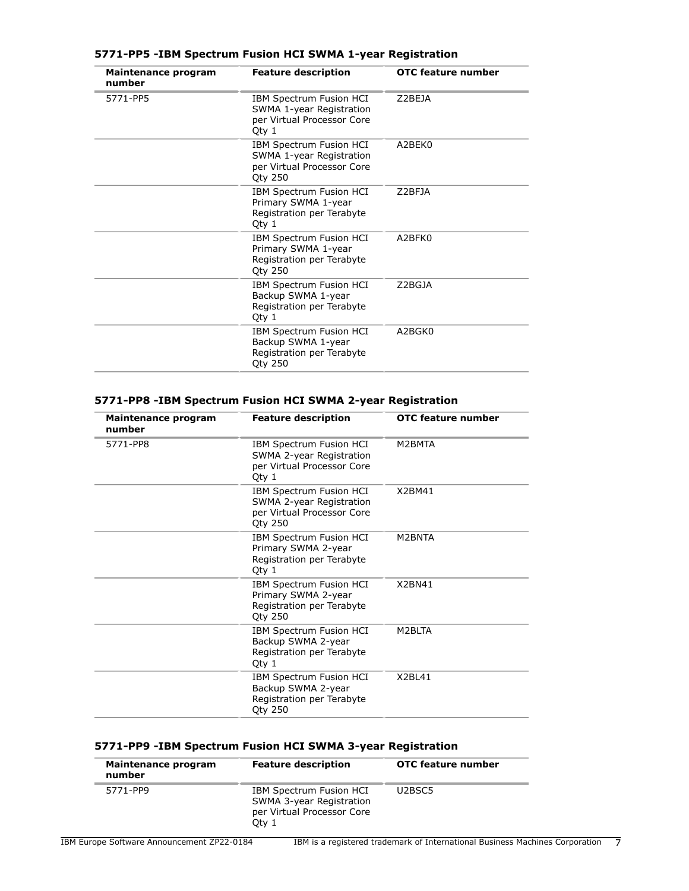## **5771-PP5 -IBM Spectrum Fusion HCI SWMA 1-year Registration**

| Maintenance program<br>number | <b>Feature description</b>                                                                                 | OTC feature number |
|-------------------------------|------------------------------------------------------------------------------------------------------------|--------------------|
| 5771-PP5                      | IBM Spectrum Fusion HCI<br>SWMA 1-year Registration<br>per Virtual Processor Core<br>Qty 1                 | Z2BEJA             |
|                               | <b>IBM Spectrum Fusion HCI</b><br>SWMA 1-year Registration<br>per Virtual Processor Core<br><b>Qty 250</b> | A2BEK0             |
|                               | IBM Spectrum Fusion HCI<br>Primary SWMA 1-year<br>Registration per Terabyte<br>Qty 1                       | Z2BFJA             |
|                               | IBM Spectrum Fusion HCI<br>Primary SWMA 1-year<br>Registration per Terabyte<br><b>Oty 250</b>              | A2BFK0             |
|                               | <b>IBM Spectrum Fusion HCI</b><br>Backup SWMA 1-year<br>Registration per Terabyte<br>Qty 1                 | Z2BGJA             |
|                               | IBM Spectrum Fusion HCI<br>Backup SWMA 1-year<br>Registration per Terabyte<br><b>Qty 250</b>               | A2BGK0             |

## **5771-PP8 -IBM Spectrum Fusion HCI SWMA 2-year Registration**

| <b>Maintenance program</b><br>number | <b>Feature description</b>                                                                          | OTC feature number |
|--------------------------------------|-----------------------------------------------------------------------------------------------------|--------------------|
| 5771-PP8                             | IBM Spectrum Fusion HCI<br>SWMA 2-year Registration<br>per Virtual Processor Core<br>Qty 1          | M2BMTA             |
|                                      | IBM Spectrum Fusion HCI<br>SWMA 2-year Registration<br>per Virtual Processor Core<br><b>Qty 250</b> | X2BM41             |
|                                      | IBM Spectrum Fusion HCI<br>Primary SWMA 2-year<br>Registration per Terabyte<br>Qty 1                | M2BNTA             |
|                                      | IBM Spectrum Fusion HCI<br>Primary SWMA 2-year<br>Registration per Terabyte<br><b>Qty 250</b>       | X2BN41             |
|                                      | IBM Spectrum Fusion HCI<br>Backup SWMA 2-year<br>Registration per Terabyte<br>Qty 1                 | M2BLTA             |
|                                      | IBM Spectrum Fusion HCI<br>Backup SWMA 2-year<br>Registration per Terabyte<br><b>Qty 250</b>        | X2BL41             |

## **5771-PP9 -IBM Spectrum Fusion HCI SWMA 3-year Registration**

| Maintenance program<br>number | <b>Feature description</b>                                                                 | <b>OTC feature number</b>       |
|-------------------------------|--------------------------------------------------------------------------------------------|---------------------------------|
| 5771-PP9                      | IBM Spectrum Fusion HCI<br>SWMA 3-year Registration<br>per Virtual Processor Core<br>Otv 1 | U <sub>2</sub> BSC <sub>5</sub> |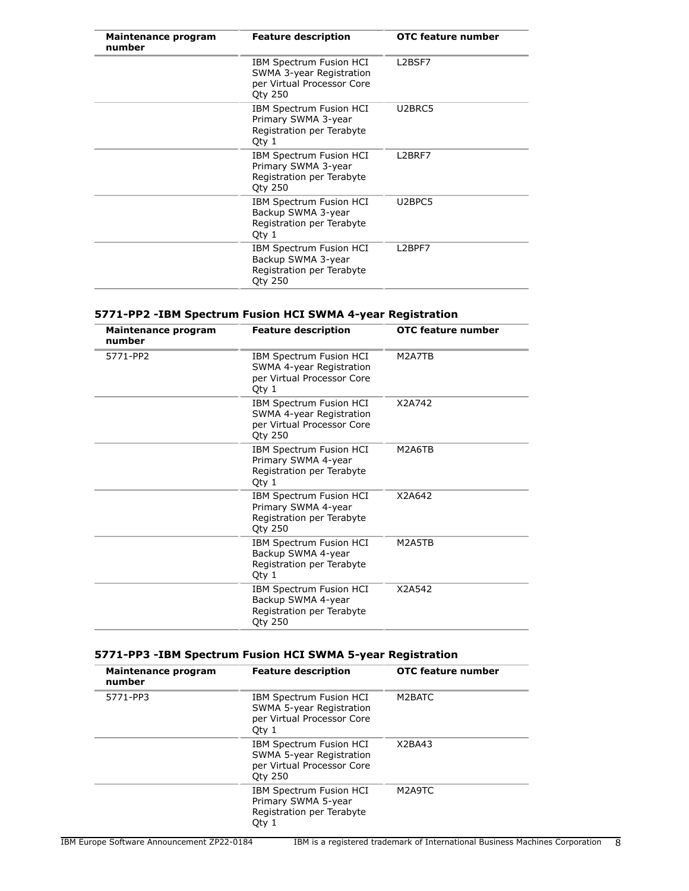| Maintenance program<br>number | <b>Feature description</b>                                                                          | <b>OTC feature number</b>       |
|-------------------------------|-----------------------------------------------------------------------------------------------------|---------------------------------|
|                               | IBM Spectrum Fusion HCI<br>SWMA 3-year Registration<br>per Virtual Processor Core<br><b>Qty 250</b> | L2BSF7                          |
|                               | IBM Spectrum Fusion HCI<br>Primary SWMA 3-year<br>Registration per Terabyte<br>Qty 1                | U2BRC5                          |
|                               | IBM Spectrum Fusion HCI<br>Primary SWMA 3-year<br>Registration per Terabyte<br><b>Oty 250</b>       | L <sub>2</sub> BRF <sub>7</sub> |
|                               | IBM Spectrum Fusion HCI<br>Backup SWMA 3-year<br>Registration per Terabyte<br>Qty 1                 | U <sub>2</sub> BPC <sub>5</sub> |
|                               | IBM Spectrum Fusion HCI<br>Backup SWMA 3-year<br>Registration per Terabyte<br><b>Qty 250</b>        | L2BPF7                          |

## **5771-PP2 -IBM Spectrum Fusion HCI SWMA 4-year Registration**

| Maintenance program<br>number | <b>Feature description</b>                                                                          | OTC feature number |
|-------------------------------|-----------------------------------------------------------------------------------------------------|--------------------|
| 5771-PP2                      | IBM Spectrum Fusion HCI<br>SWMA 4-year Registration<br>per Virtual Processor Core<br>Qty 1          | M2A7TB             |
|                               | IBM Spectrum Fusion HCI<br>SWMA 4-year Registration<br>per Virtual Processor Core<br><b>Oty 250</b> | X2A742             |
|                               | IBM Spectrum Fusion HCI<br>Primary SWMA 4-year<br>Registration per Terabyte<br>Qty 1                | M2A6TB             |
|                               | IBM Spectrum Fusion HCI<br>Primary SWMA 4-year<br>Registration per Terabyte<br><b>Oty 250</b>       | X2A642             |
|                               | IBM Spectrum Fusion HCI<br>Backup SWMA 4-year<br>Registration per Terabyte<br>Qty 1                 | M2A5TB             |
|                               | IBM Spectrum Fusion HCI<br>Backup SWMA 4-year<br>Registration per Terabyte<br><b>Qty 250</b>        | X2A542             |

## **5771-PP3 -IBM Spectrum Fusion HCI SWMA 5-year Registration**

| Maintenance program<br>number | <b>Feature description</b>                                                                        | <b>OTC feature number</b> |
|-------------------------------|---------------------------------------------------------------------------------------------------|---------------------------|
| 5771-PP3                      | <b>IBM Spectrum Fusion HCI</b><br>SWMA 5-year Registration<br>per Virtual Processor Core<br>Oty 1 | M2BATC                    |
|                               | IBM Spectrum Fusion HCI<br>SWMA 5-year Registration<br>per Virtual Processor Core<br>Oty 250      | X <sub>2</sub> BA43       |
|                               | IBM Spectrum Fusion HCI<br>Primary SWMA 5-year<br>Registration per Terabyte<br>Oty 1              | M2A9TC                    |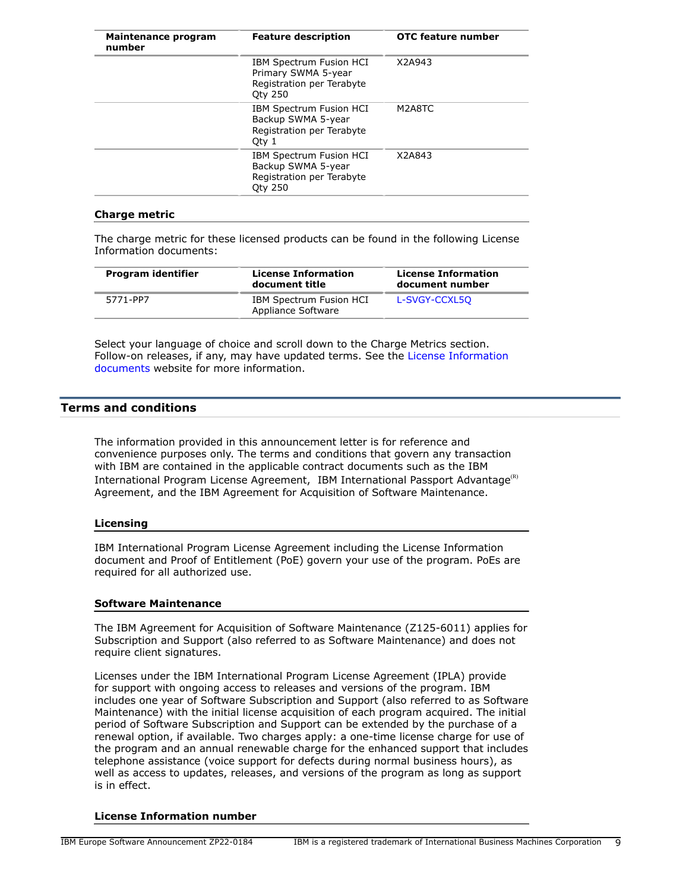| Maintenance program<br>number | <b>Feature description</b>                                                                           | OTC feature number |
|-------------------------------|------------------------------------------------------------------------------------------------------|--------------------|
|                               | <b>IBM Spectrum Fusion HCI</b><br>Primary SWMA 5-year<br>Registration per Terabyte<br><b>Oty 250</b> | X2A943             |
|                               | <b>IBM Spectrum Fusion HCI</b><br>Backup SWMA 5-year<br>Registration per Terabyte<br>Oty 1           | M2A8TC             |
|                               | <b>IBM Spectrum Fusion HCI</b><br>Backup SWMA 5-year<br>Registration per Terabyte<br><b>Oty 250</b>  | X2A843             |

## **Charge metric**

The charge metric for these licensed products can be found in the following License Information documents:

| Program identifier | <b>License Information</b><br>document title  | <b>License Information</b><br>document number |
|--------------------|-----------------------------------------------|-----------------------------------------------|
| 5771-PP7           | IBM Spectrum Fusion HCI<br>Appliance Software | L-SVGY-CCXL50                                 |

Select your language of choice and scroll down to the Charge Metrics section. Follow-on releases, if any, may have updated terms. See the [License Information](https://www.ibm.com/software/sla/sladb.nsf/search?OpenForm) [documents](https://www.ibm.com/software/sla/sladb.nsf/search?OpenForm) website for more information.

## <span id="page-8-0"></span>**Terms and conditions**

The information provided in this announcement letter is for reference and convenience purposes only. The terms and conditions that govern any transaction with IBM are contained in the applicable contract documents such as the IBM International Program License Agreement, IBM International Passport Advantage $(R)$ Agreement, and the IBM Agreement for Acquisition of Software Maintenance.

### **Licensing**

IBM International Program License Agreement including the License Information document and Proof of Entitlement (PoE) govern your use of the program. PoEs are required for all authorized use.

### **Software Maintenance**

The IBM Agreement for Acquisition of Software Maintenance (Z125-6011) applies for Subscription and Support (also referred to as Software Maintenance) and does not require client signatures.

Licenses under the IBM International Program License Agreement (IPLA) provide for support with ongoing access to releases and versions of the program. IBM includes one year of Software Subscription and Support (also referred to as Software Maintenance) with the initial license acquisition of each program acquired. The initial period of Software Subscription and Support can be extended by the purchase of a renewal option, if available. Two charges apply: a one-time license charge for use of the program and an annual renewable charge for the enhanced support that includes telephone assistance (voice support for defects during normal business hours), as well as access to updates, releases, and versions of the program as long as support is in effect.

## **License Information number**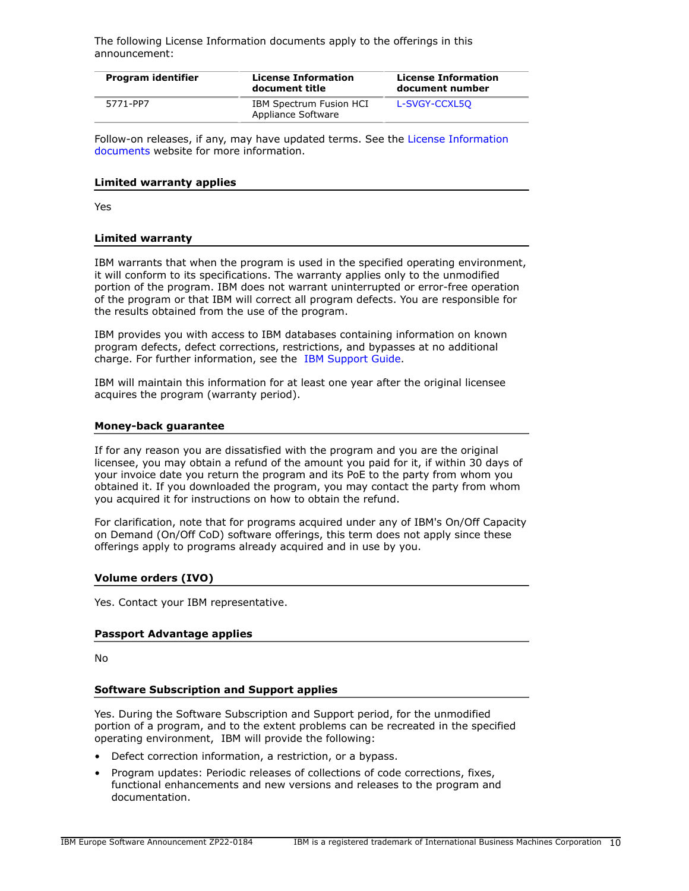The following License Information documents apply to the offerings in this announcement:

| Program identifier | <b>License Information</b><br>document title  | <b>License Information</b><br>document number |
|--------------------|-----------------------------------------------|-----------------------------------------------|
| 5771-PP7           | IBM Spectrum Fusion HCI<br>Appliance Software | L-SVGY-CCXL50                                 |

Follow-on releases, if any, may have updated terms. See the [License Information](https://www.ibm.com/software/sla/sladb.nsf/search?OpenForm) [documents](https://www.ibm.com/software/sla/sladb.nsf/search?OpenForm) website for more information.

#### **Limited warranty applies**

Yes

#### **Limited warranty**

IBM warrants that when the program is used in the specified operating environment, it will conform to its specifications. The warranty applies only to the unmodified portion of the program. IBM does not warrant uninterrupted or error-free operation of the program or that IBM will correct all program defects. You are responsible for the results obtained from the use of the program.

IBM provides you with access to IBM databases containing information on known program defects, defect corrections, restrictions, and bypasses at no additional charge. For further information, see the [IBM Support Guide](http://www.ibm.com/support/customercare/sas/f/handbook/home.html).

IBM will maintain this information for at least one year after the original licensee acquires the program (warranty period).

#### **Money-back guarantee**

If for any reason you are dissatisfied with the program and you are the original licensee, you may obtain a refund of the amount you paid for it, if within 30 days of your invoice date you return the program and its PoE to the party from whom you obtained it. If you downloaded the program, you may contact the party from whom you acquired it for instructions on how to obtain the refund.

For clarification, note that for programs acquired under any of IBM's On/Off Capacity on Demand (On/Off CoD) software offerings, this term does not apply since these offerings apply to programs already acquired and in use by you.

### **Volume orders (IVO)**

Yes. Contact your IBM representative.

### **Passport Advantage applies**

No

### **Software Subscription and Support applies**

Yes. During the Software Subscription and Support period, for the unmodified portion of a program, and to the extent problems can be recreated in the specified operating environment, IBM will provide the following:

- Defect correction information, a restriction, or a bypass.
- Program updates: Periodic releases of collections of code corrections, fixes, functional enhancements and new versions and releases to the program and documentation.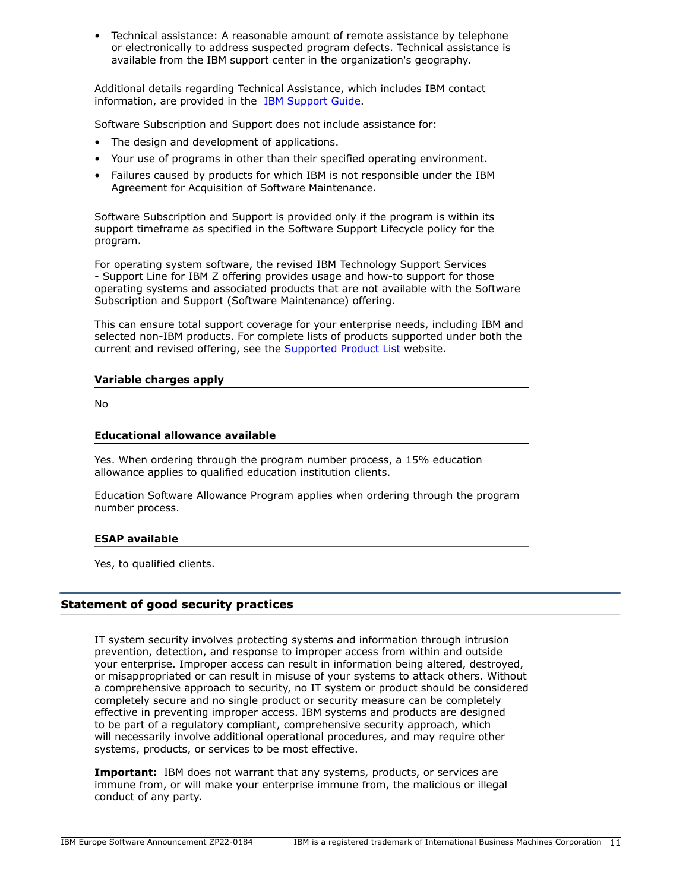• Technical assistance: A reasonable amount of remote assistance by telephone or electronically to address suspected program defects. Technical assistance is available from the IBM support center in the organization's geography.

Additional details regarding Technical Assistance, which includes IBM contact information, are provided in the [IBM Support Guide](http://www.ibm.com/support/customercare/sas/f/handbook/home.html).

Software Subscription and Support does not include assistance for:

- The design and development of applications.
- Your use of programs in other than their specified operating environment.
- Failures caused by products for which IBM is not responsible under the IBM Agreement for Acquisition of Software Maintenance.

Software Subscription and Support is provided only if the program is within its support timeframe as specified in the Software Support Lifecycle policy for the program.

For operating system software, the revised IBM Technology Support Services - Support Line for IBM Z offering provides usage and how-to support for those operating systems and associated products that are not available with the Software Subscription and Support (Software Maintenance) offering.

This can ensure total support coverage for your enterprise needs, including IBM and selected non-IBM products. For complete lists of products supported under both the current and revised offering, see the [Supported Product List](http://www-03.ibm.com/services/supline/products/index.html) website.

## **Variable charges apply**

No

## **Educational allowance available**

Yes. When ordering through the program number process, a 15% education allowance applies to qualified education institution clients.

Education Software Allowance Program applies when ordering through the program number process.

## **ESAP available**

Yes, to qualified clients.

## **Statement of good security practices**

IT system security involves protecting systems and information through intrusion prevention, detection, and response to improper access from within and outside your enterprise. Improper access can result in information being altered, destroyed, or misappropriated or can result in misuse of your systems to attack others. Without a comprehensive approach to security, no IT system or product should be considered completely secure and no single product or security measure can be completely effective in preventing improper access. IBM systems and products are designed to be part of a regulatory compliant, comprehensive security approach, which will necessarily involve additional operational procedures, and may require other systems, products, or services to be most effective.

**Important:** IBM does not warrant that any systems, products, or services are immune from, or will make your enterprise immune from, the malicious or illegal conduct of any party.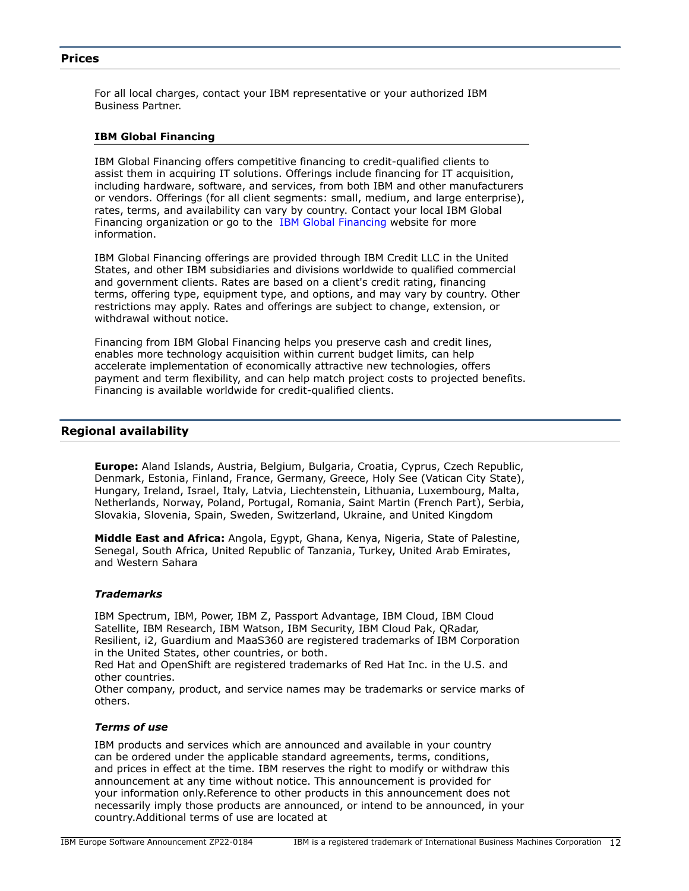## <span id="page-11-0"></span>**Prices**

For all local charges, contact your IBM representative or your authorized IBM Business Partner.

### **IBM Global Financing**

IBM Global Financing offers competitive financing to credit-qualified clients to assist them in acquiring IT solutions. Offerings include financing for IT acquisition, including hardware, software, and services, from both IBM and other manufacturers or vendors. Offerings (for all client segments: small, medium, and large enterprise), rates, terms, and availability can vary by country. Contact your local IBM Global Financing organization or go to the [IBM Global Financing](http://www.ibm.com/financing) website for more information.

IBM Global Financing offerings are provided through IBM Credit LLC in the United States, and other IBM subsidiaries and divisions worldwide to qualified commercial and government clients. Rates are based on a client's credit rating, financing terms, offering type, equipment type, and options, and may vary by country. Other restrictions may apply. Rates and offerings are subject to change, extension, or withdrawal without notice.

Financing from IBM Global Financing helps you preserve cash and credit lines, enables more technology acquisition within current budget limits, can help accelerate implementation of economically attractive new technologies, offers payment and term flexibility, and can help match project costs to projected benefits. Financing is available worldwide for credit-qualified clients.

## <span id="page-11-1"></span>**Regional availability**

**Europe:** Aland Islands, Austria, Belgium, Bulgaria, Croatia, Cyprus, Czech Republic, Denmark, Estonia, Finland, France, Germany, Greece, Holy See (Vatican City State), Hungary, Ireland, Israel, Italy, Latvia, Liechtenstein, Lithuania, Luxembourg, Malta, Netherlands, Norway, Poland, Portugal, Romania, Saint Martin (French Part), Serbia, Slovakia, Slovenia, Spain, Sweden, Switzerland, Ukraine, and United Kingdom

**Middle East and Africa:** Angola, Egypt, Ghana, Kenya, Nigeria, State of Palestine, Senegal, South Africa, United Republic of Tanzania, Turkey, United Arab Emirates, and Western Sahara

## *Trademarks*

IBM Spectrum, IBM, Power, IBM Z, Passport Advantage, IBM Cloud, IBM Cloud Satellite, IBM Research, IBM Watson, IBM Security, IBM Cloud Pak, QRadar, Resilient, i2, Guardium and MaaS360 are registered trademarks of IBM Corporation in the United States, other countries, or both.

Red Hat and OpenShift are registered trademarks of Red Hat Inc. in the U.S. and other countries.

Other company, product, and service names may be trademarks or service marks of others.

#### *Terms of use*

IBM products and services which are announced and available in your country can be ordered under the applicable standard agreements, terms, conditions, and prices in effect at the time. IBM reserves the right to modify or withdraw this announcement at any time without notice. This announcement is provided for your information only.Reference to other products in this announcement does not necessarily imply those products are announced, or intend to be announced, in your country.Additional terms of use are located at